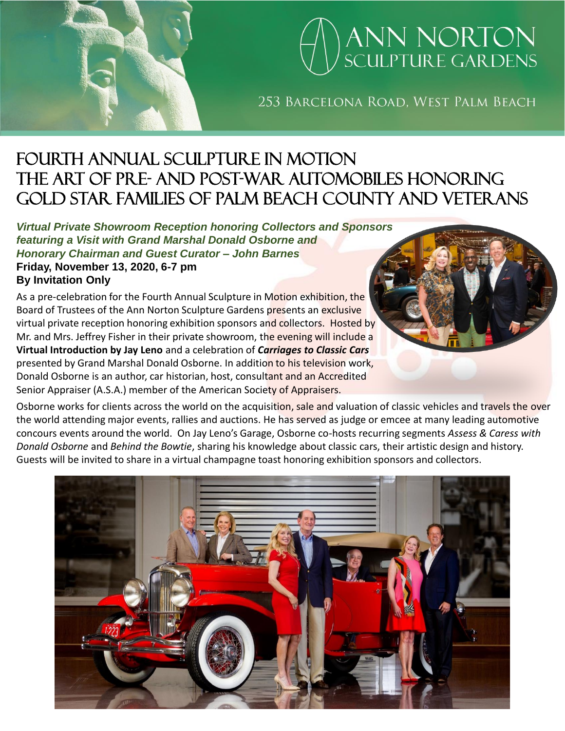# ANN NORTON<br>SCULPTURE GARDENS

253 BARCELONA ROAD, WEST PALM BEACH

### fourth annual Sculpture in Motion The art of Pre- and post-war automobiles honoring gold star families of palm beach county and veterans

*Virtual Private Showroom Reception honoring Collectors and Sponsors featuring a Visit with Grand Marshal Donald Osborne and Honorary Chairman and Guest Curator – John Barnes* **Friday, November 13, 2020, 6-7 pm**

**By Invitation Only**

As a pre-celebration for the Fourth Annual Sculpture in Motion exhibition, the Board of Trustees of the Ann Norton Sculpture Gardens presents an exclusive virtual private reception honoring exhibition sponsors and collectors. Hosted by Mr. and Mrs. Jeffrey Fisher in their private showroom, the evening will include a **Virtual Introduction by Jay Leno** and a celebration of *Carriages to Classic Cars* presented by Grand Marshal Donald Osborne. In addition to his television work, Donald Osborne is an author, car historian, host, consultant and an Accredited Senior Appraiser (A.S.A.) member of the American Society of Appraisers.

Osborne works for clients across the world on the acquisition, sale and valuation of classic vehicles and travels the over the world attending major events, rallies and auctions. He has served as judge or emcee at many leading automotive concours events around the world. On Jay Leno's Garage, Osborne co-hosts recurring segments *Assess & Caress with Donald Osborne* and *Behind the Bowtie*, sharing his knowledge about classic cars, their artistic design and history. Guests will be invited to share in a virtual champagne toast honoring exhibition sponsors and collectors.

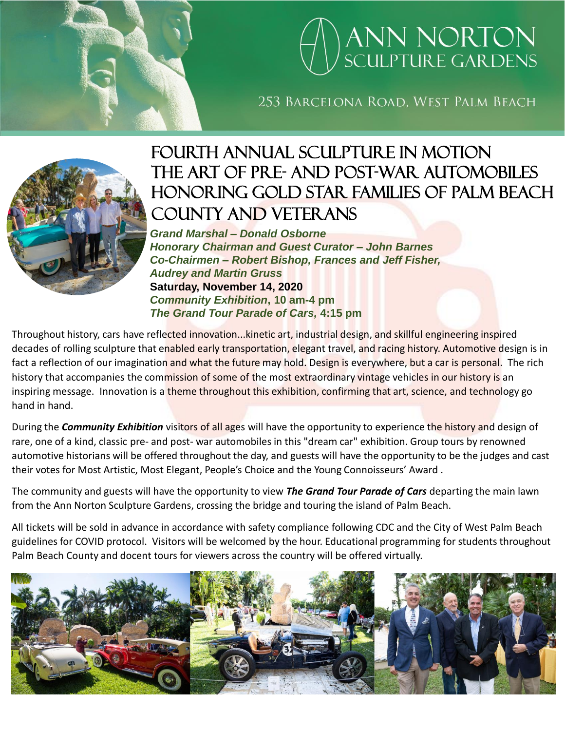# **ANN NORTON**<br>SCULPTURE GARDENS

253 BARCELONA ROAD. WEST PALM BEACH



### fourth annual Sculpture in Motion The art of Pre- and post-war automobiles HONORING GOLD STAR FAMILIES OF PALM BEACH COUNTY AND VETERANS

*Grand Marshal – Donald Osborne Honorary Chairman and Guest Curator – John Barnes Co-Chairmen – Robert Bishop, Frances and Jeff Fisher, Audrey and Martin Gruss* **Saturday, November 14, 2020** *Community Exhibition***, 10 am-4 pm** *The Grand Tour Parade of Cars,* **4:15 pm**

Throughout history, cars have reflected innovation...kinetic art, industrial design, and skillful engineering inspired decades of rolling sculpture that enabled early transportation, elegant travel, and racing history. Automotive design is in fact a reflection of our imagination and what the future may hold. Design is everywhere, but a car is personal. The rich history that accompanies the commission of some of the most extraordinary vintage vehicles in our history is an inspiring message. Innovation is a theme throughout this exhibition, confirming that art, science, and technology go hand in hand.

During the *Community Exhibition* visitors of all ages will have the opportunity to experience the history and design of rare, one of a kind, classic pre- and post- war automobiles in this "dream car" exhibition. Group tours by renowned automotive historians will be offered throughout the day, and guests will have the opportunity to be the judges and cast their votes for Most Artistic, Most Elegant, People's Choice and the Young Connoisseurs' Award .

The community and guests will have the opportunity to view *The Grand Tour Parade of Cars* departing the main lawn from the Ann Norton Sculpture Gardens, crossing the bridge and touring the island of Palm Beach.

All tickets will be sold in advance in accordance with safety compliance following CDC and the City of West Palm Beach guidelines for COVID protocol. Visitors will be welcomed by the hour. Educational programming for students throughout Palm Beach County and docent tours for viewers across the country will be offered virtually.